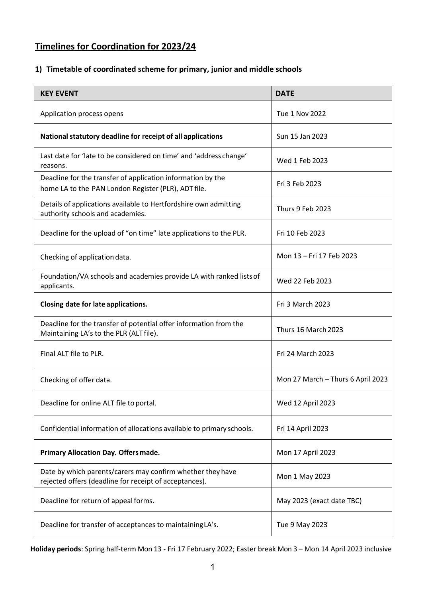## **Timelines for Coordination for 2023/24**

## **1) Timetable of coordinated scheme for primary, junior and middle schools**

| <b>KEY EVENT</b>                                                                                                     | <b>DATE</b>                       |
|----------------------------------------------------------------------------------------------------------------------|-----------------------------------|
| Application process opens                                                                                            | Tue 1 Nov 2022                    |
| National statutory deadline for receipt of all applications                                                          | Sun 15 Jan 2023                   |
| Last date for 'late to be considered on time' and 'address change'<br>reasons.                                       | Wed 1 Feb 2023                    |
| Deadline for the transfer of application information by the<br>home LA to the PAN London Register (PLR), ADT file.   | Fri 3 Feb 2023                    |
| Details of applications available to Hertfordshire own admitting<br>authority schools and academies.                 | Thurs 9 Feb 2023                  |
| Deadline for the upload of "on time" late applications to the PLR.                                                   | Fri 10 Feb 2023                   |
| Checking of application data.                                                                                        | Mon 13 - Fri 17 Feb 2023          |
| Foundation/VA schools and academies provide LA with ranked lists of<br>applicants.                                   | Wed 22 Feb 2023                   |
| Closing date for late applications.                                                                                  | Fri 3 March 2023                  |
| Deadline for the transfer of potential offer information from the<br>Maintaining LA's to the PLR (ALT file).         | Thurs 16 March 2023               |
| Final ALT file to PLR.                                                                                               | Fri 24 March 2023                 |
| Checking of offer data.                                                                                              | Mon 27 March - Thurs 6 April 2023 |
| Deadline for online ALT file to portal.                                                                              | Wed 12 April 2023                 |
| Confidential information of allocations available to primary schools.                                                | Fri 14 April 2023                 |
| Primary Allocation Day. Offers made.                                                                                 | Mon 17 April 2023                 |
| Date by which parents/carers may confirm whether they have<br>rejected offers (deadline for receipt of acceptances). | Mon 1 May 2023                    |
| Deadline for return of appeal forms.                                                                                 | May 2023 (exact date TBC)         |
| Deadline for transfer of acceptances to maintaining LA's.                                                            | Tue 9 May 2023                    |

**Holiday periods**: Spring half-term Mon 13 - Fri 17 February 2022; Easter break Mon 3 – Mon 14 April 2023 inclusive